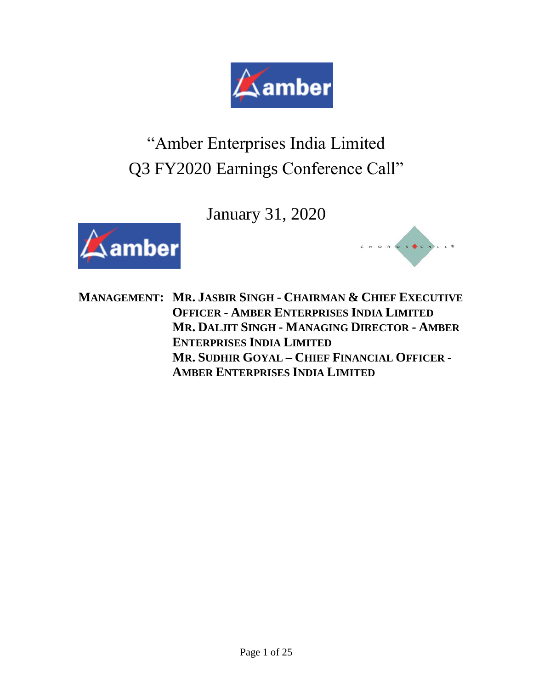

# "Amber Enterprises India Limited Q3 FY2020 Earnings Conference Call"

January 31, 2020





**MANAGEMENT: MR. JASBIR SINGH - CHAIRMAN & CHIEF EXECUTIVE OFFICER - AMBER ENTERPRISES INDIA LIMITED MR. DALJIT SINGH - MANAGING DIRECTOR - AMBER ENTERPRISES INDIA LIMITED MR. SUDHIR GOYAL – CHIEF FINANCIAL OFFICER - AMBER ENTERPRISES INDIA LIMITED**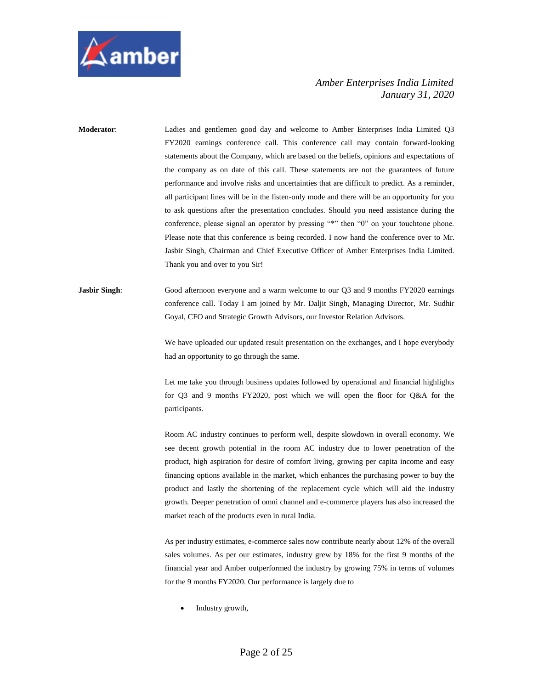

**Moderator**: Ladies and gentlemen good day and welcome to Amber Enterprises India Limited Q3 FY2020 earnings conference call. This conference call may contain forward-looking statements about the Company, which are based on the beliefs, opinions and expectations of the company as on date of this call. These statements are not the guarantees of future performance and involve risks and uncertainties that are difficult to predict. As a reminder, all participant lines will be in the listen-only mode and there will be an opportunity for you to ask questions after the presentation concludes. Should you need assistance during the conference, please signal an operator by pressing "\*" then "0" on your touchtone phone. Please note that this conference is being recorded. I now hand the conference over to Mr. Jasbir Singh, Chairman and Chief Executive Officer of Amber Enterprises India Limited. Thank you and over to you Sir!

**Jasbir Singh**: Good afternoon everyone and a warm welcome to our Q3 and 9 months FY2020 earnings conference call. Today I am joined by Mr. Daljit Singh, Managing Director, Mr. Sudhir Goyal, CFO and Strategic Growth Advisors, our Investor Relation Advisors.

> We have uploaded our updated result presentation on the exchanges, and I hope everybody had an opportunity to go through the same.

> Let me take you through business updates followed by operational and financial highlights for Q3 and 9 months FY2020, post which we will open the floor for Q&A for the participants.

> Room AC industry continues to perform well, despite slowdown in overall economy. We see decent growth potential in the room AC industry due to lower penetration of the product, high aspiration for desire of comfort living, growing per capita income and easy financing options available in the market, which enhances the purchasing power to buy the product and lastly the shortening of the replacement cycle which will aid the industry growth. Deeper penetration of omni channel and e-commerce players has also increased the market reach of the products even in rural India.

> As per industry estimates, e-commerce sales now contribute nearly about 12% of the overall sales volumes. As per our estimates, industry grew by 18% for the first 9 months of the financial year and Amber outperformed the industry by growing 75% in terms of volumes for the 9 months FY2020. Our performance is largely due to

• Industry growth,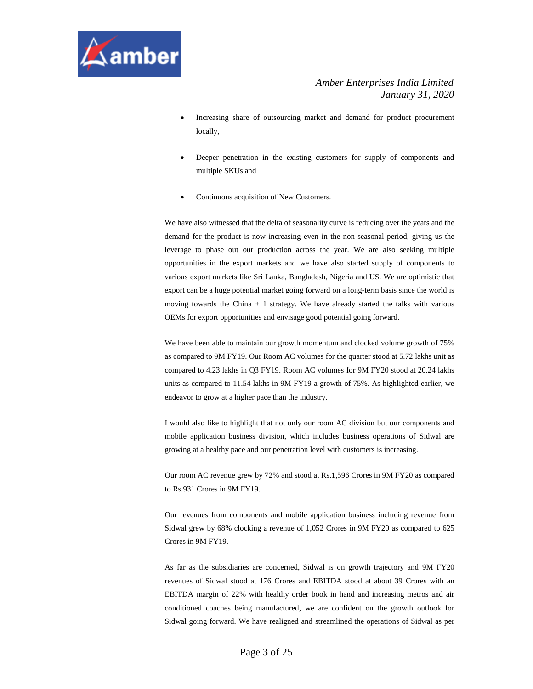

- Increasing share of outsourcing market and demand for product procurement locally,
- Deeper penetration in the existing customers for supply of components and multiple SKUs and
- Continuous acquisition of New Customers.

We have also witnessed that the delta of seasonality curve is reducing over the years and the demand for the product is now increasing even in the non-seasonal period, giving us the leverage to phase out our production across the year. We are also seeking multiple opportunities in the export markets and we have also started supply of components to various export markets like Sri Lanka, Bangladesh, Nigeria and US. We are optimistic that export can be a huge potential market going forward on a long-term basis since the world is moving towards the China  $+1$  strategy. We have already started the talks with various OEMs for export opportunities and envisage good potential going forward.

We have been able to maintain our growth momentum and clocked volume growth of 75% as compared to 9M FY19. Our Room AC volumes for the quarter stood at 5.72 lakhs unit as compared to 4.23 lakhs in Q3 FY19. Room AC volumes for 9M FY20 stood at 20.24 lakhs units as compared to 11.54 lakhs in 9M FY19 a growth of 75%. As highlighted earlier, we endeavor to grow at a higher pace than the industry.

I would also like to highlight that not only our room AC division but our components and mobile application business division, which includes business operations of Sidwal are growing at a healthy pace and our penetration level with customers is increasing.

Our room AC revenue grew by 72% and stood at Rs.1,596 Crores in 9M FY20 as compared to Rs.931 Crores in 9M FY19.

Our revenues from components and mobile application business including revenue from Sidwal grew by 68% clocking a revenue of 1,052 Crores in 9M FY20 as compared to 625 Crores in 9M FY19.

As far as the subsidiaries are concerned, Sidwal is on growth trajectory and 9M FY20 revenues of Sidwal stood at 176 Crores and EBITDA stood at about 39 Crores with an EBITDA margin of 22% with healthy order book in hand and increasing metros and air conditioned coaches being manufactured, we are confident on the growth outlook for Sidwal going forward. We have realigned and streamlined the operations of Sidwal as per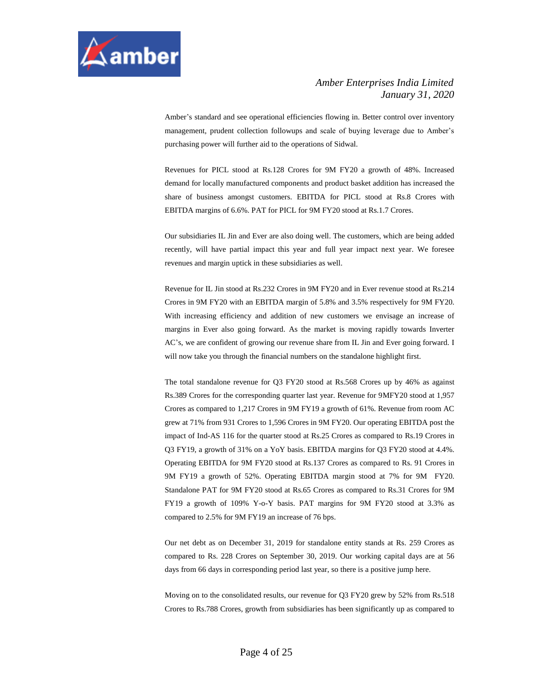

Amber's standard and see operational efficiencies flowing in. Better control over inventory management, prudent collection followups and scale of buying leverage due to Amber's purchasing power will further aid to the operations of Sidwal.

Revenues for PICL stood at Rs.128 Crores for 9M FY20 a growth of 48%. Increased demand for locally manufactured components and product basket addition has increased the share of business amongst customers. EBITDA for PICL stood at Rs.8 Crores with EBITDA margins of 6.6%. PAT for PICL for 9M FY20 stood at Rs.1.7 Crores.

Our subsidiaries IL Jin and Ever are also doing well. The customers, which are being added recently, will have partial impact this year and full year impact next year. We foresee revenues and margin uptick in these subsidiaries as well.

Revenue for IL Jin stood at Rs.232 Crores in 9M FY20 and in Ever revenue stood at Rs.214 Crores in 9M FY20 with an EBITDA margin of 5.8% and 3.5% respectively for 9M FY20. With increasing efficiency and addition of new customers we envisage an increase of margins in Ever also going forward. As the market is moving rapidly towards Inverter AC's, we are confident of growing our revenue share from IL Jin and Ever going forward. I will now take you through the financial numbers on the standalone highlight first.

The total standalone revenue for Q3 FY20 stood at Rs.568 Crores up by 46% as against Rs.389 Crores for the corresponding quarter last year. Revenue for 9MFY20 stood at 1,957 Crores as compared to 1,217 Crores in 9M FY19 a growth of 61%. Revenue from room AC grew at 71% from 931 Crores to 1,596 Crores in 9M FY20. Our operating EBITDA post the impact of Ind-AS 116 for the quarter stood at Rs.25 Crores as compared to Rs.19 Crores in Q3 FY19, a growth of 31% on a YoY basis. EBITDA margins for Q3 FY20 stood at 4.4%. Operating EBITDA for 9M FY20 stood at Rs.137 Crores as compared to Rs. 91 Crores in 9M FY19 a growth of 52%. Operating EBITDA margin stood at 7% for 9M FY20. Standalone PAT for 9M FY20 stood at Rs.65 Crores as compared to Rs.31 Crores for 9M FY19 a growth of 109% Y-o-Y basis. PAT margins for 9M FY20 stood at 3.3% as compared to 2.5% for 9M FY19 an increase of 76 bps.

Our net debt as on December 31, 2019 for standalone entity stands at Rs. 259 Crores as compared to Rs. 228 Crores on September 30, 2019. Our working capital days are at 56 days from 66 days in corresponding period last year, so there is a positive jump here.

Moving on to the consolidated results, our revenue for Q3 FY20 grew by 52% from Rs.518 Crores to Rs.788 Crores, growth from subsidiaries has been significantly up as compared to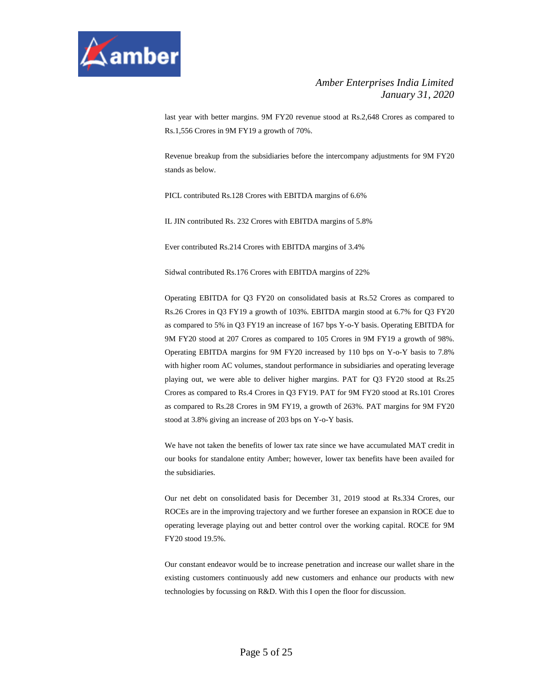

last year with better margins. 9M FY20 revenue stood at Rs.2,648 Crores as compared to Rs.1,556 Crores in 9M FY19 a growth of 70%.

Revenue breakup from the subsidiaries before the intercompany adjustments for 9M FY20 stands as below.

PICL contributed Rs.128 Crores with EBITDA margins of 6.6%

IL JIN contributed Rs. 232 Crores with EBITDA margins of 5.8%

Ever contributed Rs.214 Crores with EBITDA margins of 3.4%

Sidwal contributed Rs.176 Crores with EBITDA margins of 22%

Operating EBITDA for Q3 FY20 on consolidated basis at Rs.52 Crores as compared to Rs.26 Crores in Q3 FY19 a growth of 103%. EBITDA margin stood at 6.7% for Q3 FY20 as compared to 5% in Q3 FY19 an increase of 167 bps Y-o-Y basis. Operating EBITDA for 9M FY20 stood at 207 Crores as compared to 105 Crores in 9M FY19 a growth of 98%. Operating EBITDA margins for 9M FY20 increased by 110 bps on Y-o-Y basis to 7.8% with higher room AC volumes, standout performance in subsidiaries and operating leverage playing out, we were able to deliver higher margins. PAT for Q3 FY20 stood at Rs.25 Crores as compared to Rs.4 Crores in Q3 FY19. PAT for 9M FY20 stood at Rs.101 Crores as compared to Rs.28 Crores in 9M FY19, a growth of 263%. PAT margins for 9M FY20 stood at 3.8% giving an increase of 203 bps on Y-o-Y basis.

We have not taken the benefits of lower tax rate since we have accumulated MAT credit in our books for standalone entity Amber; however, lower tax benefits have been availed for the subsidiaries.

Our net debt on consolidated basis for December 31, 2019 stood at Rs.334 Crores, our ROCEs are in the improving trajectory and we further foresee an expansion in ROCE due to operating leverage playing out and better control over the working capital. ROCE for 9M FY20 stood 19.5%.

Our constant endeavor would be to increase penetration and increase our wallet share in the existing customers continuously add new customers and enhance our products with new technologies by focussing on R&D. With this I open the floor for discussion.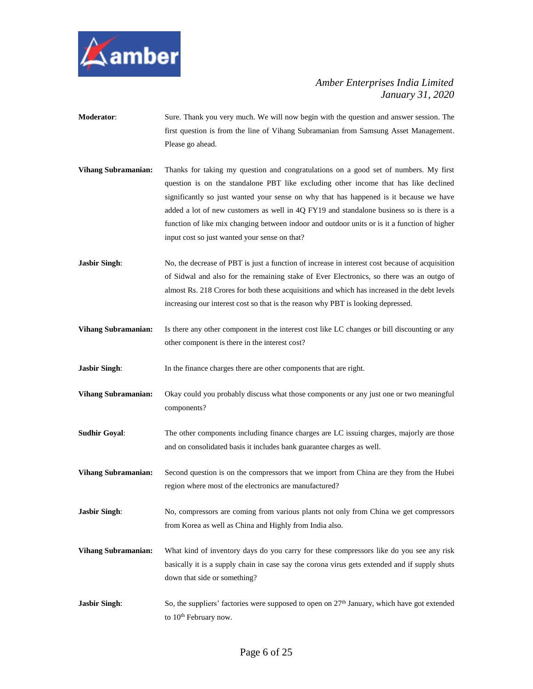

- **Moderator**: Sure. Thank you very much. We will now begin with the question and answer session. The first question is from the line of Vihang Subramanian from Samsung Asset Management. Please go ahead.
- **Vihang Subramanian:** Thanks for taking my question and congratulations on a good set of numbers. My first question is on the standalone PBT like excluding other income that has like declined significantly so just wanted your sense on why that has happened is it because we have added a lot of new customers as well in 4Q FY19 and standalone business so is there is a function of like mix changing between indoor and outdoor units or is it a function of higher input cost so just wanted your sense on that?
- **Jasbir Singh:** No, the decrease of PBT is just a function of increase in interest cost because of acquisition of Sidwal and also for the remaining stake of Ever Electronics, so there was an outgo of almost Rs. 218 Crores for both these acquisitions and which has increased in the debt levels increasing our interest cost so that is the reason why PBT is looking depressed.
- **Vihang Subramanian:** Is there any other component in the interest cost like LC changes or bill discounting or any other component is there in the interest cost?
- **Jasbir Singh:** In the finance charges there are other components that are right.
- **Vihang Subramanian:** Okay could you probably discuss what those components or any just one or two meaningful components?
- **Sudhir Goyal:** The other components including finance charges are LC issuing charges, majorly are those and on consolidated basis it includes bank guarantee charges as well.
- **Vihang Subramanian:** Second question is on the compressors that we import from China are they from the Hubei region where most of the electronics are manufactured?
- **Jasbir Singh:** No, compressors are coming from various plants not only from China we get compressors from Korea as well as China and Highly from India also.
- **Vihang Subramanian:** What kind of inventory days do you carry for these compressors like do you see any risk basically it is a supply chain in case say the corona virus gets extended and if supply shuts down that side or something?
- **Jasbir Singh:** So, the suppliers' factories were supposed to open on 27<sup>th</sup> January, which have got extended to 10<sup>th</sup> February now.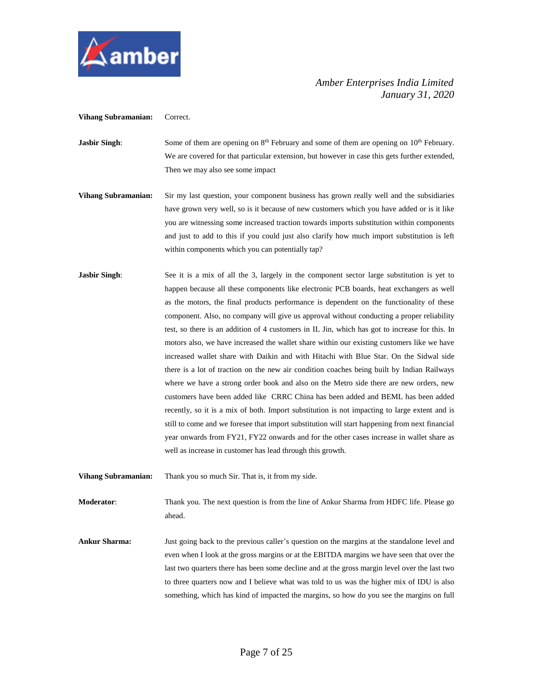

**Vihang Subramanian:** Correct.

- **Jasbir Singh:** Some of them are opening on 8<sup>th</sup> February and some of them are opening on 10<sup>th</sup> February. We are covered for that particular extension, but however in case this gets further extended, Then we may also see some impact
- **Vihang Subramanian:** Sir my last question, your component business has grown really well and the subsidiaries have grown very well, so is it because of new customers which you have added or is it like you are witnessing some increased traction towards imports substitution within components and just to add to this if you could just also clarify how much import substitution is left within components which you can potentially tap?
- **Jasbir Singh**: See it is a mix of all the 3, largely in the component sector large substitution is yet to happen because all these components like electronic PCB boards, heat exchangers as well as the motors, the final products performance is dependent on the functionality of these component. Also, no company will give us approval without conducting a proper reliability test, so there is an addition of 4 customers in IL Jin, which has got to increase for this. In motors also, we have increased the wallet share within our existing customers like we have increased wallet share with Daikin and with Hitachi with Blue Star. On the Sidwal side there is a lot of traction on the new air condition coaches being built by Indian Railways where we have a strong order book and also on the Metro side there are new orders, new customers have been added like CRRC China has been added and BEML has been added recently, so it is a mix of both. Import substitution is not impacting to large extent and is still to come and we foresee that import substitution will start happening from next financial year onwards from FY21, FY22 onwards and for the other cases increase in wallet share as well as increase in customer has lead through this growth.
- **Vihang Subramanian:** Thank you so much Sir. That is, it from my side.

**Moderator**: Thank you. The next question is from the line of Ankur Sharma from HDFC life. Please go ahead.

**Ankur Sharma:** Just going back to the previous caller's question on the margins at the standalone level and even when I look at the gross margins or at the EBITDA margins we have seen that over the last two quarters there has been some decline and at the gross margin level over the last two to three quarters now and I believe what was told to us was the higher mix of IDU is also something, which has kind of impacted the margins, so how do you see the margins on full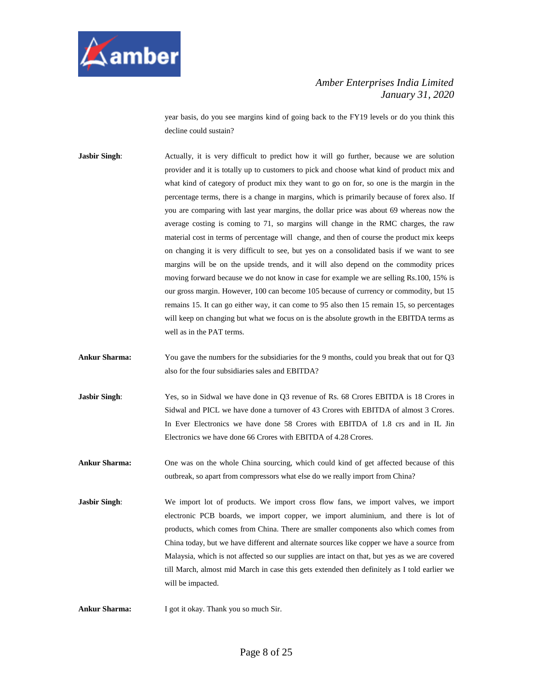

year basis, do you see margins kind of going back to the FY19 levels or do you think this decline could sustain?

**Jasbir Singh:** Actually, it is very difficult to predict how it will go further, because we are solution provider and it is totally up to customers to pick and choose what kind of product mix and what kind of category of product mix they want to go on for, so one is the margin in the percentage terms, there is a change in margins, which is primarily because of forex also. If you are comparing with last year margins, the dollar price was about 69 whereas now the average costing is coming to 71, so margins will change in the RMC charges, the raw material cost in terms of percentage will change, and then of course the product mix keeps on changing it is very difficult to see, but yes on a consolidated basis if we want to see margins will be on the upside trends, and it will also depend on the commodity prices moving forward because we do not know in case for example we are selling Rs.100, 15% is our gross margin. However, 100 can become 105 because of currency or commodity, but 15 remains 15. It can go either way, it can come to 95 also then 15 remain 15, so percentages will keep on changing but what we focus on is the absolute growth in the EBITDA terms as well as in the PAT terms.

- **Ankur Sharma:** You gave the numbers for the subsidiaries for the 9 months, could you break that out for Q3 also for the four subsidiaries sales and EBITDA?
- **Jasbir Singh:** Yes, so in Sidwal we have done in Q3 revenue of Rs. 68 Crores EBITDA is 18 Crores in Sidwal and PICL we have done a turnover of 43 Crores with EBITDA of almost 3 Crores. In Ever Electronics we have done 58 Crores with EBITDA of 1.8 crs and in IL Jin Electronics we have done 66 Crores with EBITDA of 4.28 Crores.
- **Ankur Sharma:** One was on the whole China sourcing, which could kind of get affected because of this outbreak, so apart from compressors what else do we really import from China?
- **Jasbir Singh:** We import lot of products. We import cross flow fans, we import valves, we import electronic PCB boards, we import copper, we import aluminium, and there is lot of products, which comes from China. There are smaller components also which comes from China today, but we have different and alternate sources like copper we have a source from Malaysia, which is not affected so our supplies are intact on that, but yes as we are covered till March, almost mid March in case this gets extended then definitely as I told earlier we will be impacted.

**Ankur Sharma:** I got it okay. Thank you so much Sir.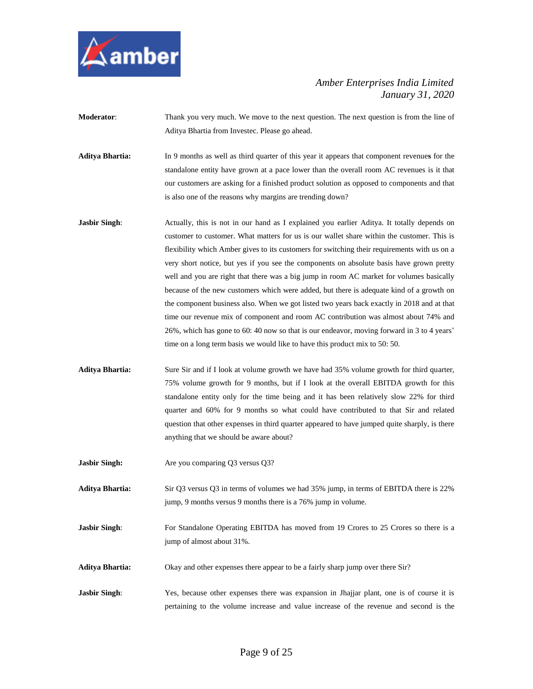

**Moderator**: Thank you very much. We move to the next question. The next question is from the line of Aditya Bhartia from Investec. Please go ahead.

**Aditya Bhartia:** In 9 months as well as third quarter of this year it appears that component revenue**s** for the standalone entity have grown at a pace lower than the overall room AC revenues is it that our customers are asking for a finished product solution as opposed to components and that is also one of the reasons why margins are trending down?

- **Jasbir Singh**: Actually, this is not in our hand as I explained you earlier Aditya. It totally depends on customer to customer. What matters for us is our wallet share within the customer. This is flexibility which Amber gives to its customers for switching their requirements with us on a very short notice, but yes if you see the components on absolute basis have grown pretty well and you are right that there was a big jump in room AC market for volumes basically because of the new customers which were added, but there is adequate kind of a growth on the component business also. When we got listed two years back exactly in 2018 and at that time our revenue mix of component and room AC contribution was almost about 74% and 26%, which has gone to 60: 40 now so that is our endeavor, moving forward in 3 to 4 years' time on a long term basis we would like to have this product mix to 50: 50.
- **Aditya Bhartia:** Sure Sir and if I look at volume growth we have had 35% volume growth for third quarter, 75% volume growth for 9 months, but if I look at the overall EBITDA growth for this standalone entity only for the time being and it has been relatively slow 22% for third quarter and 60% for 9 months so what could have contributed to that Sir and related question that other expenses in third quarter appeared to have jumped quite sharply, is there anything that we should be aware about?
- **Jasbir Singh:** Are you comparing Q3 versus Q3?
- **Aditya Bhartia:** Sir Q3 versus Q3 in terms of volumes we had 35% jump, in terms of EBITDA there is 22% jump, 9 months versus 9 months there is a 76% jump in volume.
- **Jasbir Singh:** For Standalone Operating EBITDA has moved from 19 Crores to 25 Crores so there is a jump of almost about 31%.
- **Aditya Bhartia:** Okay and other expenses there appear to be a fairly sharp jump over there Sir?
- **Jasbir Singh:** Yes, because other expenses there was expansion in Jhajjar plant, one is of course it is pertaining to the volume increase and value increase of the revenue and second is the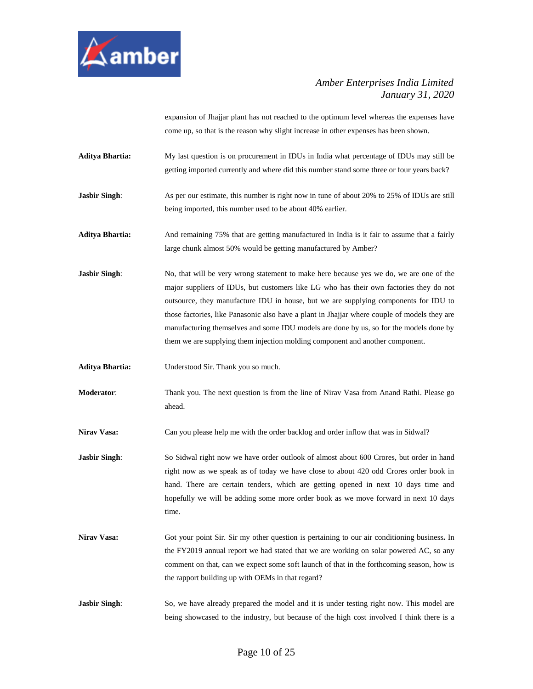

expansion of Jhajjar plant has not reached to the optimum level whereas the expenses have come up, so that is the reason why slight increase in other expenses has been shown.

- **Aditya Bhartia:** My last question is on procurement in IDUs in India what percentage of IDUs may still be getting imported currently and where did this number stand some three or four years back?
- **Jasbir Singh:** As per our estimate, this number is right now in tune of about 20% to 25% of IDUs are still being imported, this number used to be about 40% earlier.
- **Aditya Bhartia:** And remaining 75% that are getting manufactured in India is it fair to assume that a fairly large chunk almost 50% would be getting manufactured by Amber?
- **Jasbir Singh:** No, that will be very wrong statement to make here because yes we do, we are one of the major suppliers of IDUs, but customers like LG who has their own factories they do not outsource, they manufacture IDU in house, but we are supplying components for IDU to those factories, like Panasonic also have a plant in Jhajjar where couple of models they are manufacturing themselves and some IDU models are done by us, so for the models done by them we are supplying them injection molding component and another component.
- **Aditya Bhartia:** Understood Sir. Thank you so much.
- **Moderator**: Thank you. The next question is from the line of Nirav Vasa from Anand Rathi. Please go ahead.
- **Nirav Vasa:** Can you please help me with the order backlog and order inflow that was in Sidwal?
- **Jasbir Singh:** So Sidwal right now we have order outlook of almost about 600 Crores, but order in hand right now as we speak as of today we have close to about 420 odd Crores order book in hand. There are certain tenders, which are getting opened in next 10 days time and hopefully we will be adding some more order book as we move forward in next 10 days time.
- **Nirav Vasa:** Got your point Sir. Sir my other question is pertaining to our air conditioning business**.** In the FY2019 annual report we had stated that we are working on solar powered AC, so any comment on that, can we expect some soft launch of that in the forthcoming season, how is the rapport building up with OEMs in that regard?
- **Jasbir Singh:** So, we have already prepared the model and it is under testing right now. This model are being showcased to the industry, but because of the high cost involved I think there is a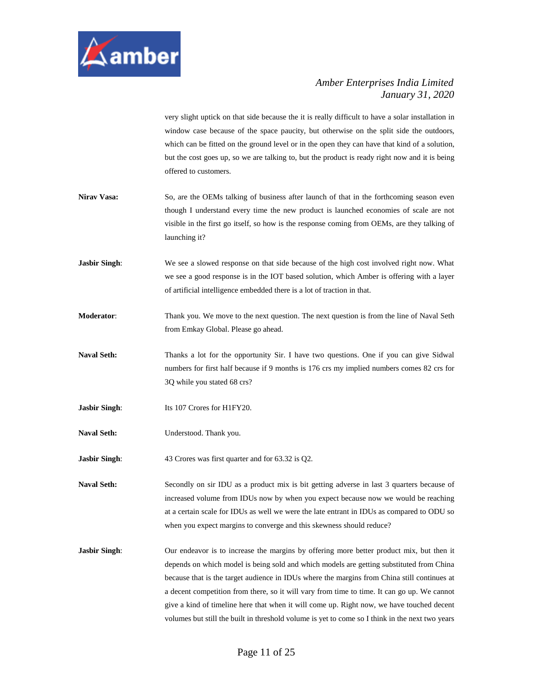

very slight uptick on that side because the it is really difficult to have a solar installation in window case because of the space paucity, but otherwise on the split side the outdoors, which can be fitted on the ground level or in the open they can have that kind of a solution, but the cost goes up, so we are talking to, but the product is ready right now and it is being offered to customers.

- **Nirav Vasa:** So, are the OEMs talking of business after launch of that in the forthcoming season even though I understand every time the new product is launched economies of scale are not visible in the first go itself, so how is the response coming from OEMs, are they talking of launching it?
- **Jasbir Singh:** We see a slowed response on that side because of the high cost involved right now. What we see a good response is in the IOT based solution, which Amber is offering with a layer of artificial intelligence embedded there is a lot of traction in that.
- **Moderator**: Thank you. We move to the next question. The next question is from the line of Naval Seth from Emkay Global. Please go ahead.
- Naval Seth: Thanks a lot for the opportunity Sir. I have two questions. One if you can give Sidwal numbers for first half because if 9 months is 176 crs my implied numbers comes 82 crs for 3Q while you stated 68 crs?
- **Jasbir Singh:** Its 107 Crores for H1FY20.
- **Naval Seth:** Understood. Thank you.

**Jasbir Singh:** 43 Crores was first quarter and for 63.32 is Q2.

**Naval Seth:** Secondly on sir IDU as a product mix is bit getting adverse in last 3 quarters because of increased volume from IDUs now by when you expect because now we would be reaching at a certain scale for IDUs as well we were the late entrant in IDUs as compared to ODU so when you expect margins to converge and this skewness should reduce?

**Jasbir Singh:** Our endeavor is to increase the margins by offering more better product mix, but then it depends on which model is being sold and which models are getting substituted from China because that is the target audience in IDUs where the margins from China still continues at a decent competition from there, so it will vary from time to time. It can go up. We cannot give a kind of timeline here that when it will come up. Right now, we have touched decent volumes but still the built in threshold volume is yet to come so I think in the next two years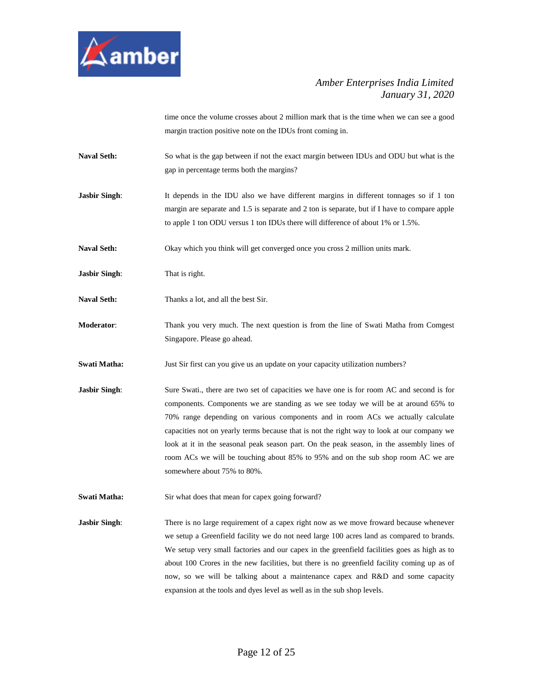

time once the volume crosses about 2 million mark that is the time when we can see a good margin traction positive note on the IDUs front coming in.

- **Naval Seth:** So what is the gap between if not the exact margin between IDUs and ODU but what is the gap in percentage terms both the margins?
- **Jasbir Singh:** It depends in the IDU also we have different margins in different tonnages so if 1 ton margin are separate and 1.5 is separate and 2 ton is separate, but if I have to compare apple to apple 1 ton ODU versus 1 ton IDUs there will difference of about 1% or 1.5%.
- **Naval Seth:** Okay which you think will get converged once you cross 2 million units mark.
- **Jasbir Singh**: That is right.
- **Naval Seth:** Thanks a lot, and all the best Sir.
- **Moderator**: Thank you very much. The next question is from the line of Swati Matha from Comgest Singapore. Please go ahead.
- **Swati Matha:** Just Sir first can you give us an update on your capacity utilization numbers?
- **Jasbir Singh:** Sure Swati., there are two set of capacities we have one is for room AC and second is for components. Components we are standing as we see today we will be at around 65% to 70% range depending on various components and in room ACs we actually calculate capacities not on yearly terms because that is not the right way to look at our company we look at it in the seasonal peak season part. On the peak season, in the assembly lines of room ACs we will be touching about 85% to 95% and on the sub shop room AC we are somewhere about 75% to 80%.
- **Swati Matha:** Sir what does that mean for capex going forward?

**Jasbir Singh:** There is no large requirement of a capex right now as we move froward because whenever we setup a Greenfield facility we do not need large 100 acres land as compared to brands. We setup very small factories and our capex in the greenfield facilities goes as high as to about 100 Crores in the new facilities, but there is no greenfield facility coming up as of now, so we will be talking about a maintenance capex and R&D and some capacity expansion at the tools and dyes level as well as in the sub shop levels.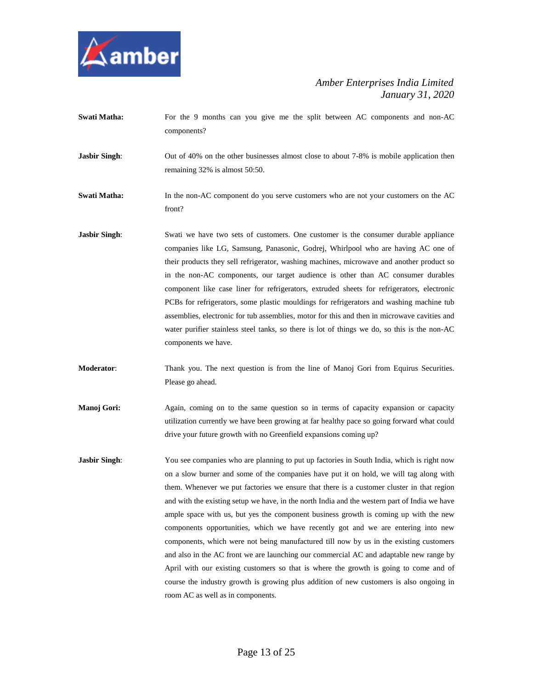

- **Swati Matha:** For the 9 months can you give me the split between AC components and non-AC components?
- **Jasbir Singh:** Out of 40% on the other businesses almost close to about 7-8% is mobile application then remaining 32% is almost 50:50.
- **Swati Matha:** In the non-AC component do you serve customers who are not your customers on the AC front?
- **Jasbir Singh:** Swati we have two sets of customers. One customer is the consumer durable appliance companies like LG, Samsung, Panasonic, Godrej, Whirlpool who are having AC one of their products they sell refrigerator, washing machines, microwave and another product so in the non-AC components, our target audience is other than AC consumer durables component like case liner for refrigerators, extruded sheets for refrigerators, electronic PCBs for refrigerators, some plastic mouldings for refrigerators and washing machine tub assemblies, electronic for tub assemblies, motor for this and then in microwave cavities and water purifier stainless steel tanks, so there is lot of things we do, so this is the non-AC components we have.
- **Moderator**: Thank you. The next question is from the line of Manoj Gori from Equirus Securities. Please go ahead.
- **Manoj Gori:** Again, coming on to the same question so in terms of capacity expansion or capacity utilization currently we have been growing at far healthy pace so going forward what could drive your future growth with no Greenfield expansions coming up?
- **Jasbir Singh:** You see companies who are planning to put up factories in South India, which is right now on a slow burner and some of the companies have put it on hold, we will tag along with them. Whenever we put factories we ensure that there is a customer cluster in that region and with the existing setup we have, in the north India and the western part of India we have ample space with us, but yes the component business growth is coming up with the new components opportunities, which we have recently got and we are entering into new components, which were not being manufactured till now by us in the existing customers and also in the AC front we are launching our commercial AC and adaptable new range by April with our existing customers so that is where the growth is going to come and of course the industry growth is growing plus addition of new customers is also ongoing in room AC as well as in components.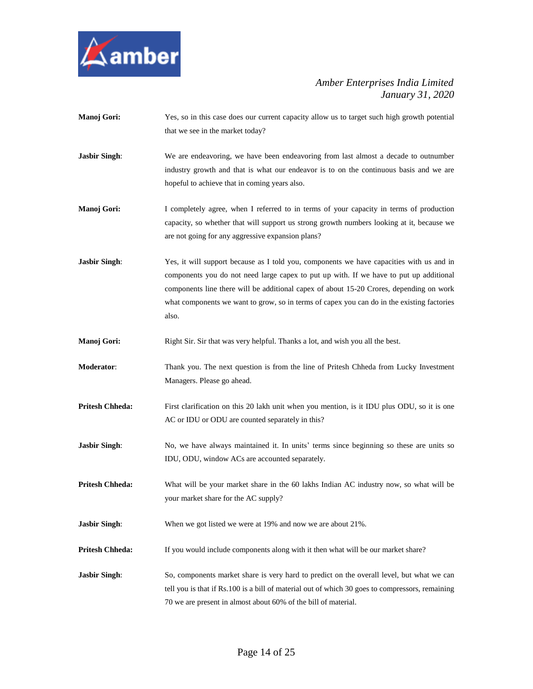

- **Manoj Gori:** Yes, so in this case does our current capacity allow us to target such high growth potential that we see in the market today?
- **Jasbir Singh**: We are endeavoring, we have been endeavoring from last almost a decade to outnumber industry growth and that is what our endeavor is to on the continuous basis and we are hopeful to achieve that in coming years also.
- **Manoj Gori:** I completely agree, when I referred to in terms of your capacity in terms of production capacity, so whether that will support us strong growth numbers looking at it, because we are not going for any aggressive expansion plans?
- **Jasbir Singh:** Yes, it will support because as I told you, components we have capacities with us and in components you do not need large capex to put up with. If we have to put up additional components line there will be additional capex of about 15-20 Crores, depending on work what components we want to grow, so in terms of capex you can do in the existing factories also.
- **Manoj Gori:** Right Sir. Sir that was very helpful. Thanks a lot, and wish you all the best.
- **Moderator**: Thank you. The next question is from the line of Pritesh Chheda from Lucky Investment Managers. Please go ahead.
- **Pritesh Chheda:** First clarification on this 20 lakh unit when you mention, is it IDU plus ODU, so it is one AC or IDU or ODU are counted separately in this?
- **Jasbir Singh:** No, we have always maintained it. In units' terms since beginning so these are units so IDU, ODU, window ACs are accounted separately.
- **Pritesh Chheda:** What will be your market share in the 60 lakhs Indian AC industry now, so what will be your market share for the AC supply?
- **Jasbir Singh:** When we got listed we were at 19% and now we are about 21%.
- **Pritesh Chheda:** If you would include components along with it then what will be our market share?
- **Jasbir Singh:** So, components market share is very hard to predict on the overall level, but what we can tell you is that if Rs.100 is a bill of material out of which 30 goes to compressors, remaining 70 we are present in almost about 60% of the bill of material.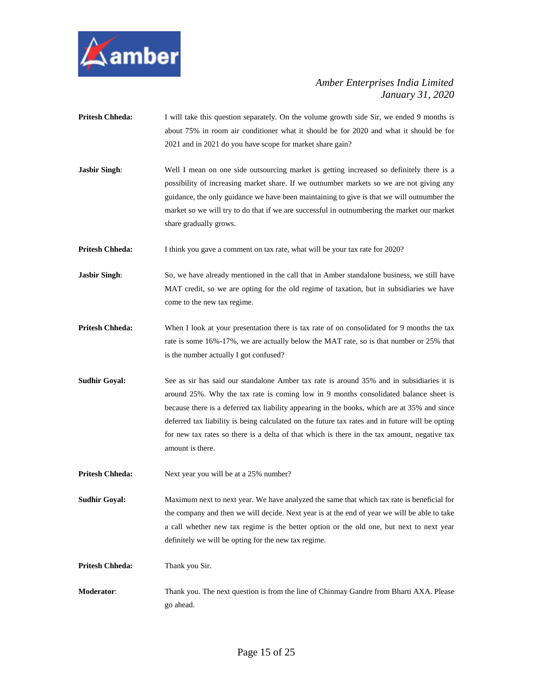

- **Pritesh Chheda:** I will take this question separately. On the volume growth side Sir, we ended 9 months is about 75% in room air conditioner what it should be for 2020 and what it should be for 2021 and in 2021 do you have scope for market share gain?
- **Jasbir Singh:** Well I mean on one side outsourcing market is getting increased so definitely there is a possibility of increasing market share. If we outnumber markets so we are not giving any guidance, the only guidance we have been maintaining to give is that we will outnumber the market so we will try to do that if we are successful in outnumbering the market our market share gradually grows.

**Pritesh Chheda:** I think you gave a comment on tax rate, what will be your tax rate for 2020?

- **Jasbir Singh**: So, we have already mentioned in the call that in Amber standalone business, we still have MAT credit, so we are opting for the old regime of taxation, but in subsidiaries we have come to the new tax regime.
- **Pritesh Chheda:** When I look at your presentation there is tax rate of on consolidated for 9 months the tax rate is some 16%-17%, we are actually below the MAT rate, so is that number or 25% that is the number actually I got confused?
- **Sudhir Goyal:** See as sir has said our standalone Amber tax rate is around 35% and in subsidiaries it is around 25%. Why the tax rate is coming low in 9 months consolidated balance sheet is because there is a deferred tax liability appearing in the books, which are at 35% and since deferred tax liability is being calculated on the future tax rates and in future will be opting for new tax rates so there is a delta of that which is there in the tax amount, negative tax amount is there.
- **Pritesh Chheda:** Next year you will be at a 25% number?

**Sudhir Goyal:** Maximum next to next year. We have analyzed the same that which tax rate is beneficial for the company and then we will decide. Next year is at the end of year we will be able to take a call whether new tax regime is the better option or the old one, but next to next year definitely we will be opting for the new tax regime.

**Pritesh Chheda:** Thank you Sir.

**Moderator**: Thank you. The next question is from the line of Chinmay Gandre from Bharti AXA. Please go ahead.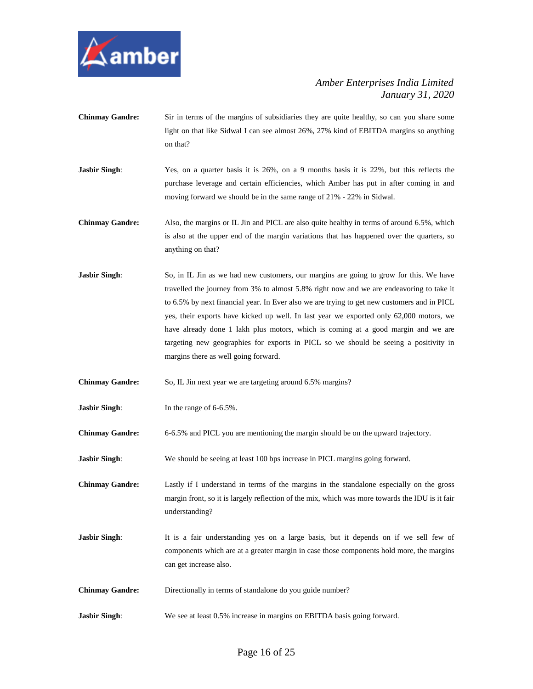

- **Chinmay Gandre:** Sir in terms of the margins of subsidiaries they are quite healthy, so can you share some light on that like Sidwal I can see almost 26%, 27% kind of EBITDA margins so anything on that?
- **Jasbir Singh:** Yes, on a quarter basis it is 26%, on a 9 months basis it is 22%, but this reflects the purchase leverage and certain efficiencies, which Amber has put in after coming in and moving forward we should be in the same range of 21% - 22% in Sidwal.
- **Chinmay Gandre:** Also, the margins or IL Jin and PICL are also quite healthy in terms of around 6.5%, which is also at the upper end of the margin variations that has happened over the quarters, so anything on that?
- **Jasbir Singh**: So, in IL Jin as we had new customers, our margins are going to grow for this. We have travelled the journey from 3% to almost 5.8% right now and we are endeavoring to take it to 6.5% by next financial year. In Ever also we are trying to get new customers and in PICL yes, their exports have kicked up well. In last year we exported only 62,000 motors, we have already done 1 lakh plus motors, which is coming at a good margin and we are targeting new geographies for exports in PICL so we should be seeing a positivity in margins there as well going forward.

**Chinmay Gandre:** So, IL Jin next year we are targeting around 6.5% margins?

**Jasbir Singh:** In the range of 6-6.5%.

**Chinmay Gandre:** 6-6.5% and PICL you are mentioning the margin should be on the upward trajectory.

**Jasbir Singh:** We should be seeing at least 100 bps increase in PICL margins going forward.

**Chinmay Gandre:** Lastly if I understand in terms of the margins in the standalone especially on the gross margin front, so it is largely reflection of the mix, which was more towards the IDU is it fair understanding?

- **Jasbir Singh:** It is a fair understanding yes on a large basis, but it depends on if we sell few of components which are at a greater margin in case those components hold more, the margins can get increase also.
- **Chinmay Gandre:** Directionally in terms of standalone do you guide number?
- **Jasbir Singh:** We see at least 0.5% increase in margins on EBITDA basis going forward.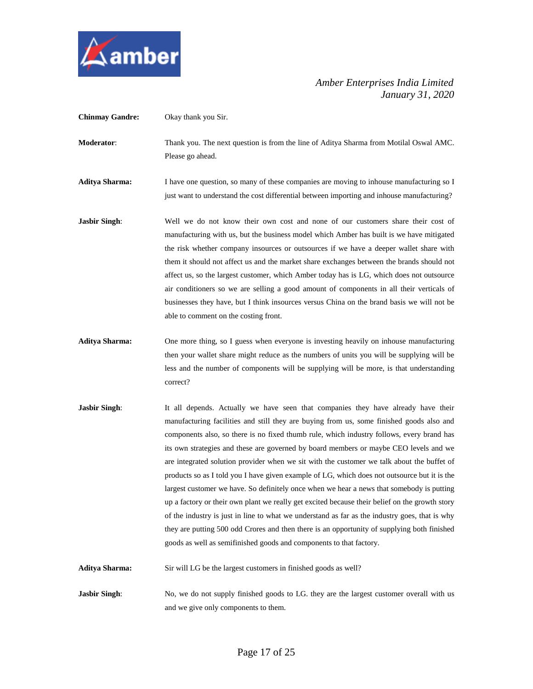

**Chinmay Gandre:** Okay thank you Sir. **Moderator**: Thank you. The next question is from the line of Aditya Sharma from Motilal Oswal AMC. Please go ahead. **Aditya Sharma:** I have one question, so many of these companies are moving to inhouse manufacturing so I just want to understand the cost differential between importing and inhouse manufacturing? **Jasbir Singh:** Well we do not know their own cost and none of our customers share their cost of manufacturing with us, but the business model which Amber has built is we have mitigated the risk whether company insources or outsources if we have a deeper wallet share with them it should not affect us and the market share exchanges between the brands should not affect us, so the largest customer, which Amber today has is LG, which does not outsource air conditioners so we are selling a good amount of components in all their verticals of businesses they have, but I think insources versus China on the brand basis we will not be able to comment on the costing front. **Aditya Sharma:** One more thing, so I guess when everyone is investing heavily on inhouse manufacturing then your wallet share might reduce as the numbers of units you will be supplying will be less and the number of components will be supplying will be more, is that understanding correct? **Jasbir Singh**: It all depends. Actually we have seen that companies they have already have their manufacturing facilities and still they are buying from us, some finished goods also and components also, so there is no fixed thumb rule, which industry follows, every brand has its own strategies and these are governed by board members or maybe CEO levels and we are integrated solution provider when we sit with the customer we talk about the buffet of products so as I told you I have given example of LG, which does not outsource but it is the largest customer we have. So definitely once when we hear a news that somebody is putting up a factory or their own plant we really get excited because their belief on the growth story

of the industry is just in line to what we understand as far as the industry goes, that is why they are putting 500 odd Crores and then there is an opportunity of supplying both finished goods as well as semifinished goods and components to that factory.

**Aditya Sharma:** Sir will LG be the largest customers in finished goods as well?

**Jasbir Singh:** No, we do not supply finished goods to LG. they are the largest customer overall with us and we give only components to them.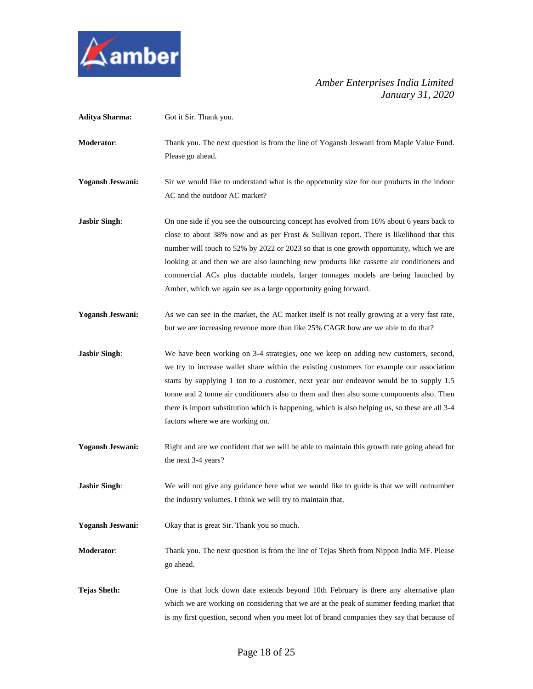

| <b>Aditya Sharma:</b>   | Got it Sir. Thank you.                                                                                                                                                                                                                                                                                                                                                                                                                                                                                                                 |
|-------------------------|----------------------------------------------------------------------------------------------------------------------------------------------------------------------------------------------------------------------------------------------------------------------------------------------------------------------------------------------------------------------------------------------------------------------------------------------------------------------------------------------------------------------------------------|
| Moderator:              | Thank you. The next question is from the line of Yogansh Jeswani from Maple Value Fund.<br>Please go ahead.                                                                                                                                                                                                                                                                                                                                                                                                                            |
| <b>Yogansh Jeswani:</b> | Sir we would like to understand what is the opportunity size for our products in the indoor<br>AC and the outdoor AC market?                                                                                                                                                                                                                                                                                                                                                                                                           |
| <b>Jasbir Singh:</b>    | On one side if you see the outsourcing concept has evolved from 16% about 6 years back to<br>close to about 38% now and as per Frost & Sullivan report. There is likelihood that this<br>number will touch to 52% by 2022 or 2023 so that is one growth opportunity, which we are<br>looking at and then we are also launching new products like cassette air conditioners and<br>commercial ACs plus ductable models, larger tonnages models are being launched by<br>Amber, which we again see as a large opportunity going forward. |
| <b>Yogansh Jeswani:</b> | As we can see in the market, the AC market itself is not really growing at a very fast rate,<br>but we are increasing revenue more than like 25% CAGR how are we able to do that?                                                                                                                                                                                                                                                                                                                                                      |
| <b>Jasbir Singh:</b>    | We have been working on 3-4 strategies, one we keep on adding new customers, second,<br>we try to increase wallet share within the existing customers for example our association<br>starts by supplying 1 ton to a customer, next year our endeavor would be to supply 1.5<br>tonne and 2 tonne air conditioners also to them and then also some components also. Then<br>there is import substitution which is happening, which is also helping us, so these are all 3-4<br>factors where we are working on.                         |
| <b>Yogansh Jeswani:</b> | Right and are we confident that we will be able to maintain this growth rate going ahead for<br>the next 3-4 years?                                                                                                                                                                                                                                                                                                                                                                                                                    |
| <b>Jasbir Singh:</b>    | We will not give any guidance here what we would like to guide is that we will outnumber<br>the industry volumes. I think we will try to maintain that.                                                                                                                                                                                                                                                                                                                                                                                |
| <b>Yogansh Jeswani:</b> | Okay that is great Sir. Thank you so much.                                                                                                                                                                                                                                                                                                                                                                                                                                                                                             |
| Moderator:              | Thank you. The next question is from the line of Tejas Sheth from Nippon India MF. Please<br>go ahead.                                                                                                                                                                                                                                                                                                                                                                                                                                 |
| <b>Tejas Sheth:</b>     | One is that lock down date extends beyond 10th February is there any alternative plan<br>which we are working on considering that we are at the peak of summer feeding market that<br>is my first question, second when you meet lot of brand companies they say that because of                                                                                                                                                                                                                                                       |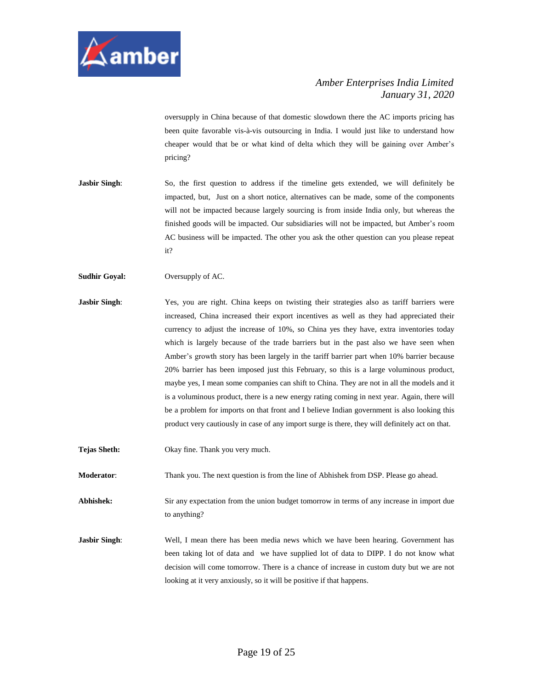

oversupply in China because of that domestic slowdown there the AC imports pricing has been quite favorable vis-à-vis outsourcing in India. I would just like to understand how cheaper would that be or what kind of delta which they will be gaining over Amber's pricing?

**Jasbir Singh**: So, the first question to address if the timeline gets extended, we will definitely be impacted, but, Just on a short notice, alternatives can be made, some of the components will not be impacted because largely sourcing is from inside India only, but whereas the finished goods will be impacted. Our subsidiaries will not be impacted, but Amber's room AC business will be impacted. The other you ask the other question can you please repeat it?

**Sudhir Goyal:** Oversupply of AC.

- **Jasbir Singh**: Yes, you are right. China keeps on twisting their strategies also as tariff barriers were increased, China increased their export incentives as well as they had appreciated their currency to adjust the increase of 10%, so China yes they have, extra inventories today which is largely because of the trade barriers but in the past also we have seen when Amber's growth story has been largely in the tariff barrier part when 10% barrier because 20% barrier has been imposed just this February, so this is a large voluminous product, maybe yes, I mean some companies can shift to China. They are not in all the models and it is a voluminous product, there is a new energy rating coming in next year. Again, there will be a problem for imports on that front and I believe Indian government is also looking this product very cautiously in case of any import surge is there, they will definitely act on that.
- **Tejas Sheth:** Okay fine. Thank you very much.

**Moderator**: Thank you. The next question is from the line of Abhishek from DSP. Please go ahead.

**Abhishek:** Sir any expectation from the union budget tomorrow in terms of any increase in import due to anything?

**Jasbir Singh**: Well, I mean there has been media news which we have been hearing. Government has been taking lot of data and we have supplied lot of data to DIPP. I do not know what decision will come tomorrow. There is a chance of increase in custom duty but we are not looking at it very anxiously, so it will be positive if that happens.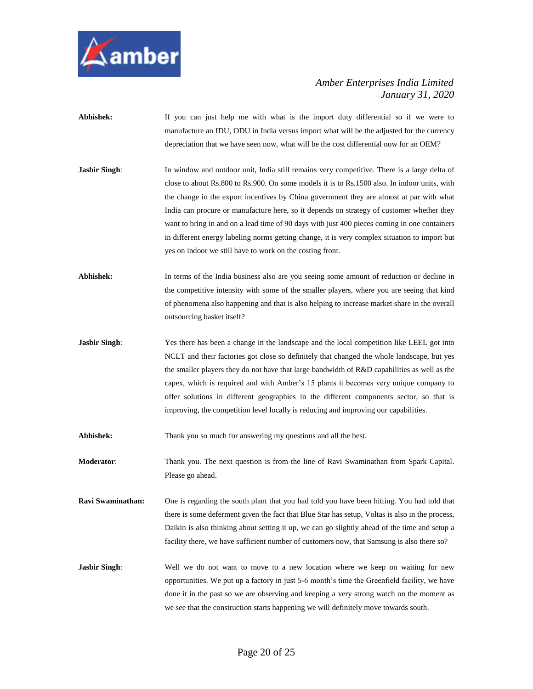

- Abhishek: If you can just help me with what is the import duty differential so if we were to manufacture an IDU, ODU in India versus import what will be the adjusted for the currency depreciation that we have seen now, what will be the cost differential now for an OEM?
- **Jasbir Singh**: In window and outdoor unit, India still remains very competitive. There is a large delta of close to about Rs.800 to Rs.900. On some models it is to Rs.1500 also. In indoor units, with the change in the export incentives by China government they are almost at par with what India can procure or manufacture here, so it depends on strategy of customer whether they want to bring in and on a lead time of 90 days with just 400 pieces coming in one containers in different energy labeling norms getting change, it is very complex situation to import but yes on indoor we still have to work on the costing front.
- **Abhishek:** In terms of the India business also are you seeing some amount of reduction or decline in the competitive intensity with some of the smaller players, where you are seeing that kind of phenomena also happening and that is also helping to increase market share in the overall outsourcing basket itself?
- **Jasbir Singh:** Yes there has been a change in the landscape and the local competition like LEEL got into NCLT and their factories got close so definitely that changed the whole landscape, but yes the smaller players they do not have that large bandwidth of R&D capabilities as well as the capex, which is required and with Amber's 15 plants it becomes very unique company to offer solutions in different geographies in the different components sector, so that is improving, the competition level locally is reducing and improving our capabilities.

Abhishek: Thank you so much for answering my questions and all the best.

**Moderator**: Thank you. The next question is from the line of Ravi Swaminathan from Spark Capital. Please go ahead.

**Ravi Swaminathan:** One is regarding the south plant that you had told you have been hitting. You had told that there is some deferment given the fact that Blue Star has setup, Voltas is also in the process, Daikin is also thinking about setting it up, we can go slightly ahead of the time and setup a facility there, we have sufficient number of customers now, that Samsung is also there so?

**Jasbir Singh**: Well we do not want to move to a new location where we keep on waiting for new opportunities. We put up a factory in just 5-6 month's time the Greenfield facility, we have done it in the past so we are observing and keeping a very strong watch on the moment as we see that the construction starts happening we will definitely move towards south.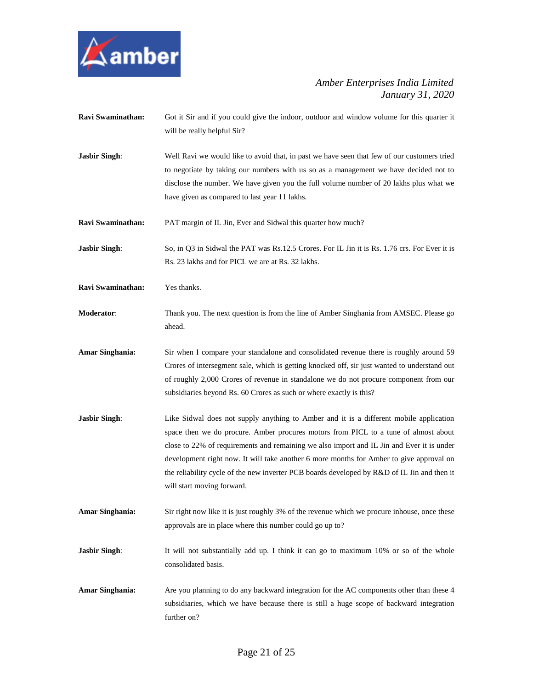

- **Ravi Swaminathan:** Got it Sir and if you could give the indoor, outdoor and window volume for this quarter it will be really helpful Sir?
- **Jasbir Singh:** Well Ravi we would like to avoid that, in past we have seen that few of our customers tried to negotiate by taking our numbers with us so as a management we have decided not to disclose the number. We have given you the full volume number of 20 lakhs plus what we have given as compared to last year 11 lakhs.

**Ravi Swaminathan:** PAT margin of IL Jin, Ever and Sidwal this quarter how much?

**Jasbir Singh:** So, in Q3 in Sidwal the PAT was Rs.12.5 Crores. For IL Jin it is Rs. 1.76 crs. For Ever it is Rs. 23 lakhs and for PICL we are at Rs. 32 lakhs.

- **Ravi Swaminathan:** Yes thanks.
- **Moderator**: Thank you. The next question is from the line of Amber Singhania from AMSEC. Please go ahead.
- **Amar Singhania:** Sir when I compare your standalone and consolidated revenue there is roughly around 59 Crores of intersegment sale, which is getting knocked off, sir just wanted to understand out of roughly 2,000 Crores of revenue in standalone we do not procure component from our subsidiaries beyond Rs. 60 Crores as such or where exactly is this?
- **Jasbir Singh:** Like Sidwal does not supply anything to Amber and it is a different mobile application space then we do procure. Amber procures motors from PICL to a tune of almost about close to 22% of requirements and remaining we also import and IL Jin and Ever it is under development right now. It will take another 6 more months for Amber to give approval on the reliability cycle of the new inverter PCB boards developed by R&D of IL Jin and then it will start moving forward.
- **Amar Singhania:** Sir right now like it is just roughly 3% of the revenue which we procure inhouse, once these approvals are in place where this number could go up to?

**Jasbir Singh:** It will not substantially add up. I think it can go to maximum 10% or so of the whole consolidated basis.

**Amar Singhania:** Are you planning to do any backward integration for the AC components other than these 4 subsidiaries, which we have because there is still a huge scope of backward integration further on?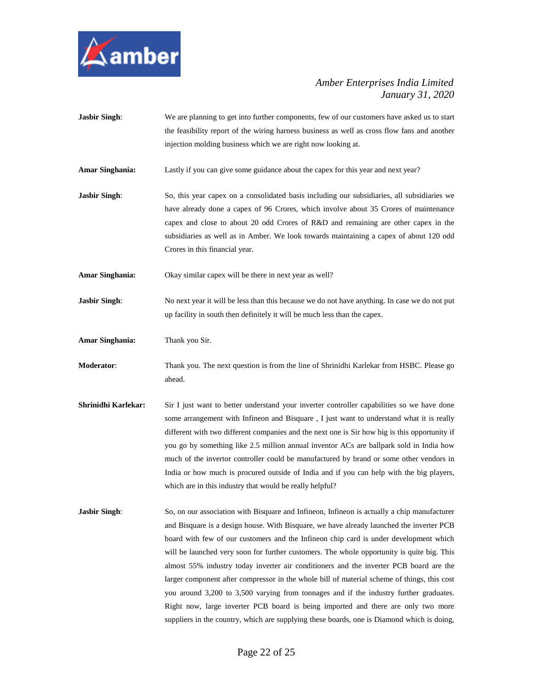

- **Jasbir Singh:** We are planning to get into further components, few of our customers have asked us to start the feasibility report of the wiring harness business as well as cross flow fans and another injection molding business which we are right now looking at.
- **Amar Singhania:** Lastly if you can give some guidance about the capex for this year and next year?
- **Jasbir Singh**: So, this year capex on a consolidated basis including our subsidiaries, all subsidiaries we have already done a capex of 96 Crores, which involve about 35 Crores of maintenance capex and close to about 20 odd Crores of R&D and remaining are other capex in the subsidiaries as well as in Amber. We look towards maintaining a capex of about 120 odd Crores in this financial year.
- **Amar Singhania:** Okay similar capex will be there in next year as well?
- **Jasbir Singh:** No next year it will be less than this because we do not have anything. In case we do not put up facility in south then definitely it will be much less than the capex.
- **Amar Singhania:** Thank you Sir.
- **Moderator**: Thank you. The next question is from the line of Shrinidhi Karlekar from HSBC. Please go ahead.
- **Shrinidhi Karlekar:** Sir I just want to better understand your inverter controller capabilities so we have done some arrangement with Infineon and Bisquare , I just want to understand what it is really different with two different companies and the next one is Sir how big is this opportunity if you go by something like 2.5 million annual inventor ACs are ballpark sold in India how much of the invertor controller could be manufactured by brand or some other vendors in India or how much is procured outside of India and if you can help with the big players, which are in this industry that would be really helpful?
- **Jasbir Singh:** So, on our association with Bisquare and Infineon, Infineon is actually a chip manufacturer and Bisquare is a design house. With Bisquare, we have already launched the inverter PCB board with few of our customers and the Infineon chip card is under development which will be launched very soon for further customers. The whole opportunity is quite big. This almost 55% industry today inverter air conditioners and the inverter PCB board are the larger component after compressor in the whole bill of material scheme of things, this cost you around 3,200 to 3,500 varying from tonnages and if the industry further graduates. Right now, large inverter PCB board is being imported and there are only two more suppliers in the country, which are supplying these boards, one is Diamond which is doing,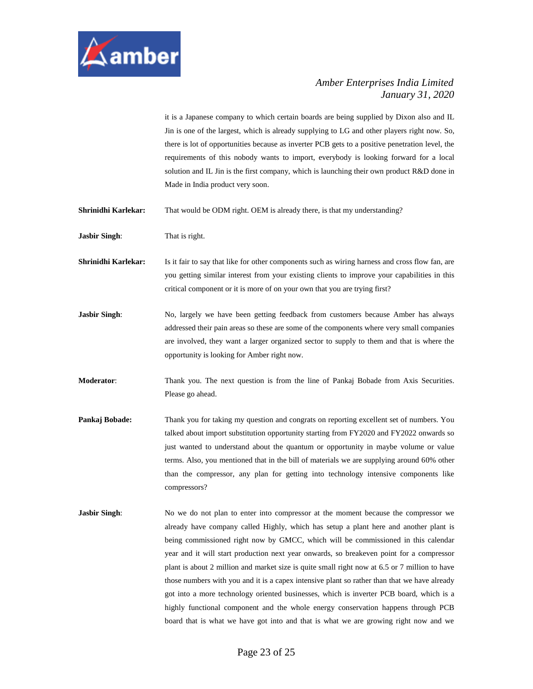

it is a Japanese company to which certain boards are being supplied by Dixon also and IL Jin is one of the largest, which is already supplying to LG and other players right now. So, there is lot of opportunities because as inverter PCB gets to a positive penetration level, the requirements of this nobody wants to import, everybody is looking forward for a local solution and IL Jin is the first company, which is launching their own product R&D done in Made in India product very soon.

**Shrinidhi Karlekar:** That would be ODM right. OEM is already there, is that my understanding?

**Jasbir Singh**: That is right.

**Shrinidhi Karlekar:** Is it fair to say that like for other components such as wiring harness and cross flow fan, are you getting similar interest from your existing clients to improve your capabilities in this critical component or it is more of on your own that you are trying first?

**Jasbir Singh**: No, largely we have been getting feedback from customers because Amber has always addressed their pain areas so these are some of the components where very small companies are involved, they want a larger organized sector to supply to them and that is where the opportunity is looking for Amber right now.

**Moderator:** Thank you. The next question is from the line of Pankaj Bobade from Axis Securities. Please go ahead.

- **Pankaj Bobade:** Thank you for taking my question and congrats on reporting excellent set of numbers. You talked about import substitution opportunity starting from FY2020 and FY2022 onwards so just wanted to understand about the quantum or opportunity in maybe volume or value terms. Also, you mentioned that in the bill of materials we are supplying around 60% other than the compressor, any plan for getting into technology intensive components like compressors?
- **Jasbir Singh:** No we do not plan to enter into compressor at the moment because the compressor we already have company called Highly, which has setup a plant here and another plant is being commissioned right now by GMCC, which will be commissioned in this calendar year and it will start production next year onwards, so breakeven point for a compressor plant is about 2 million and market size is quite small right now at 6.5 or 7 million to have those numbers with you and it is a capex intensive plant so rather than that we have already got into a more technology oriented businesses, which is inverter PCB board, which is a highly functional component and the whole energy conservation happens through PCB board that is what we have got into and that is what we are growing right now and we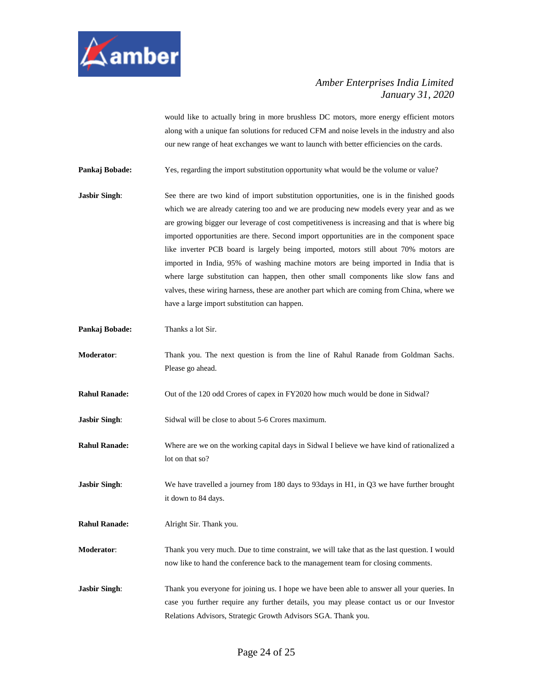

would like to actually bring in more brushless DC motors, more energy efficient motors along with a unique fan solutions for reduced CFM and noise levels in the industry and also our new range of heat exchanges we want to launch with better efficiencies on the cards.

**Pankaj Bobade:** Yes, regarding the import substitution opportunity what would be the volume or value?

- **Jasbir Singh:** See there are two kind of import substitution opportunities, one is in the finished goods which we are already catering too and we are producing new models every year and as we are growing bigger our leverage of cost competitiveness is increasing and that is where big imported opportunities are there. Second import opportunities are in the component space like inverter PCB board is largely being imported, motors still about 70% motors are imported in India, 95% of washing machine motors are being imported in India that is where large substitution can happen, then other small components like slow fans and valves, these wiring harness, these are another part which are coming from China, where we have a large import substitution can happen.
- **Pankaj Bobade:** Thanks a lot Sir.
- **Moderator**: Thank you. The next question is from the line of Rahul Ranade from Goldman Sachs. Please go ahead.
- **Rahul Ranade:** Out of the 120 odd Crores of capex in FY2020 how much would be done in Sidwal?

**Jasbir Singh:** Sidwal will be close to about 5-6 Crores maximum.

- **Rahul Ranade:** Where are we on the working capital days in Sidwal I believe we have kind of rationalized a lot on that so?
- **Jasbir Singh:** We have travelled a journey from 180 days to 93 days in H1, in Q3 we have further brought it down to 84 days.

**Rahul Ranade:** Alright Sir. Thank you.

- **Moderator**: Thank you very much. Due to time constraint, we will take that as the last question. I would now like to hand the conference back to the management team for closing comments.
- **Jasbir Singh:** Thank you everyone for joining us. I hope we have been able to answer all your queries. In case you further require any further details, you may please contact us or our Investor Relations Advisors, Strategic Growth Advisors SGA. Thank you.